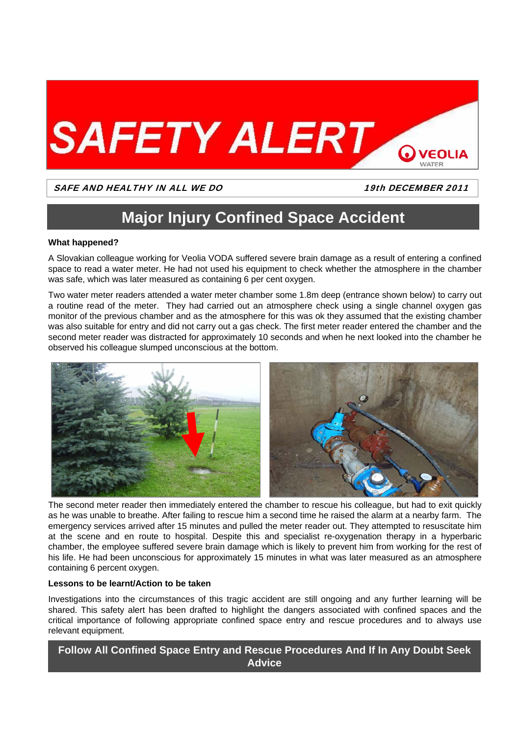

## SAFE AND HEALTHY IN ALL WE DO 19th DECEMBER 2011

# **Major Injury Confined Space Accident**

### **What happened?**

A Slovakian colleague working for Veolia VODA suffered severe brain damage as a result of entering a confined space to read a water meter. He had not used his equipment to check whether the atmosphere in the chamber was safe, which was later measured as containing 6 per cent oxygen.

Two water meter readers attended a water meter chamber some 1.8m deep (entrance shown below) to carry out a routine read of the meter. They had carried out an atmosphere check using a single channel oxygen gas monitor of the previous chamber and as the atmosphere for this was ok they assumed that the existing chamber was also suitable for entry and did not carry out a gas check. The first meter reader entered the chamber and the second meter reader was distracted for approximately 10 seconds and when he next looked into the chamber he observed his colleague slumped unconscious at the bottom.



The second meter reader then immediately entered the chamber to rescue his colleague, but had to exit quickly as he was unable to breathe. After failing to rescue him a second time he raised the alarm at a nearby farm. The emergency services arrived after 15 minutes and pulled the meter reader out. They attempted to resuscitate him at the scene and en route to hospital. Despite this and specialist re-oxygenation therapy in a hyperbaric chamber, the employee suffered severe brain damage which is likely to prevent him from working for the rest of his life. He had been unconscious for approximately 15 minutes in what was later measured as an atmosphere containing 6 percent oxygen.

### **Lessons to be learnt/Action to be taken**

Investigations into the circumstances of this tragic accident are still ongoing and any further learning will be shared. This safety alert has been drafted to highlight the dangers associated with confined spaces and the critical importance of following appropriate confined space entry and rescue procedures and to always use relevant equipment.

**Follow All Confined Space Entry and Rescue Procedures And If In Any Doubt Seek Advice**